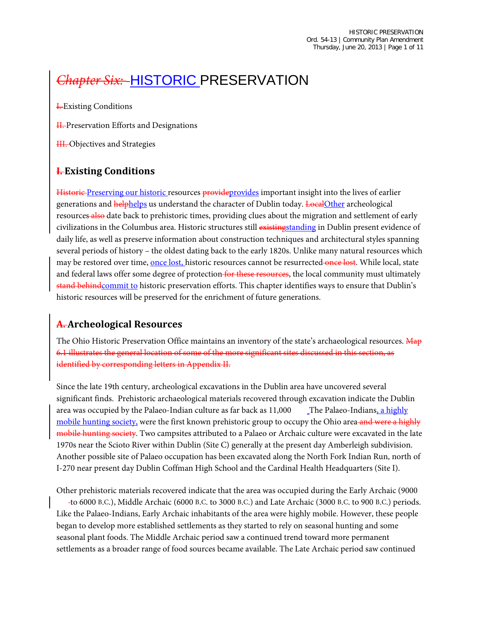# **Chapter Six: - HISTORIC PRESERVATION**

**I.** Existing Conditions

H. Preservation Efforts and Designations

H. Objectives and Strategies

## **I. Existing Conditions**

Historic Preserving our historic resources provide provides important insight into the lives of earlier generations and helphelps us understand the character of Dublin today. LocalOther archeological resources also date back to prehistoric times, providing clues about the migration and settlement of early civilizations in the Columbus area. Historic structures still existingstanding in Dublin present evidence of daily life, as well as preserve information about construction techniques and architectural styles spanning several periods of history – the oldest dating back to the early 1820s. Unlike many natural resources which may be restored over time, once lost, historic resources cannot be resurrected once lost. While local, state and federal laws offer some degree of protection for these resources, the local community must ultimately stand behindcommit to historic preservation efforts. This chapter identifies ways to ensure that Dublin's historic resources will be preserved for the enrichment of future generations.

## **A. Archeological Resources**

The Ohio Historic Preservation Office maintains an inventory of the state's archaeological resources. Map 6.1 illustrates the general location of some of the more significant sites discussed in this section, as identified by corresponding letters in Appendix II.

Since the late 19th century, archeological excavations in the Dublin area have uncovered several significant finds. Prehistoric archaeological materials recovered through excavation indicate the Dublin area was occupied by the Palaeo-Indian culture as far back as 11,000 The Palaeo-Indians, a highly mobile hunting society, were the first known prehistoric group to occupy the Ohio area and were a highly mobile hunting society. Two campsites attributed to a Palaeo or Archaic culture were excavated in the late 1970s near the Scioto River within Dublin (Site C) generally at the present day Amberleigh subdivision. Another possible site of Palaeo occupation has been excavated along the North Fork Indian Run, north of I-270 near present day Dublin Coffman High School and the Cardinal Health Headquarters (Site I).

Other prehistoric materials recovered indicate that the area was occupied during the Early Archaic (9000

b.c. to 6000 B.C.), Middle Archaic (6000 B.C. to 3000 B.C.) and Late Archaic (3000 B.C. to 900 B.C.) periods. Like the Palaeo-Indians, Early Archaic inhabitants of the area were highly mobile. However, these people began to develop more established settlements as they started to rely on seasonal hunting and some seasonal plant foods. The Middle Archaic period saw a continued trend toward more permanent settlements as a broader range of food sources became available. The Late Archaic period saw continued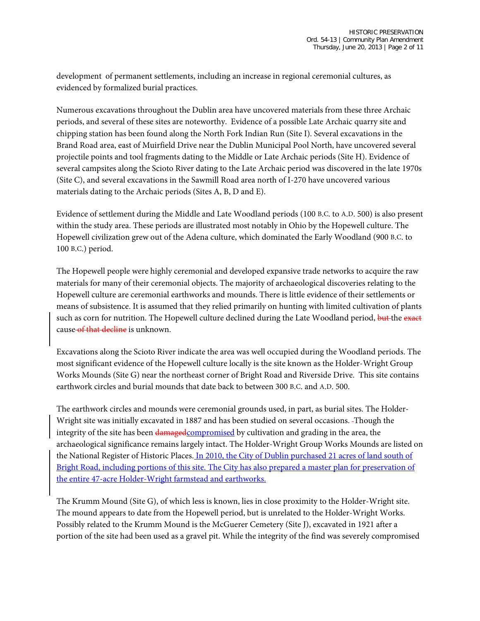development of permanent settlements, including an increase in regional ceremonial cultures, as evidenced by formalized burial practices.

Numerous excavations throughout the Dublin area have uncovered materials from these three Archaic periods, and several of these sites are noteworthy. Evidence of a possible Late Archaic quarry site and chipping station has been found along the North Fork Indian Run (Site I). Several excavations in the Brand Road area, east of Muirfield Drive near the Dublin Municipal Pool North, have uncovered several projectile points and tool fragments dating to the Middle or Late Archaic periods (Site H). Evidence of several campsites along the Scioto River dating to the Late Archaic period was discovered in the late 1970s (Site C), and several excavations in the Sawmill Road area north of I-270 have uncovered various materials dating to the Archaic periods (Sites A, B, D and E).

Evidence of settlement during the Middle and Late Woodland periods (100 B.C. to A.D. 500) is also present within the study area. These periods are illustrated most notably in Ohio by the Hopewell culture. The Hopewell civilization grew out of the Adena culture, which dominated the Early Woodland (900 B.C. to 100 B.C.) period.

The Hopewell people were highly ceremonial and developed expansive trade networks to acquire the raw materials for many of their ceremonial objects. The majority of archaeological discoveries relating to the Hopewell culture are ceremonial earthworks and mounds. There is little evidence of their settlements or means of subsistence. It is assumed that they relied primarily on hunting with limited cultivation of plants such as corn for nutrition. The Hopewell culture declined during the Late Woodland period, but the exact cause of that decline is unknown.

Excavations along the Scioto River indicate the area was well occupied during the Woodland periods. The most significant evidence of the Hopewell culture locally is the site known as the Holder-Wright Group Works Mounds (Site G) near the northeast corner of Bright Road and Riverside Drive. This site contains earthwork circles and burial mounds that date back to between 300 B.C. and A.D. 500.

The earthwork circles and mounds were ceremonial grounds used, in part, as burial sites. The Holder-Wright site was initially excavated in 1887 and has been studied on several occasions. Though the integrity of the site has been damagedcompromised by cultivation and grading in the area, the archaeological significance remains largely intact. The Holder-Wright Group Works Mounds are listed on the National Register of Historic Places. In 2010, the City of Dublin purchased 21 acres of land south of Bright Road, including portions of this site. The City has also prepared a master plan for preservation of the entire 47-acre Holder-Wright farmstead and earthworks.

The Krumm Mound (Site G), of which less is known, lies in close proximity to the Holder-Wright site. The mound appears to date from the Hopewell period, but is unrelated to the Holder-Wright Works. Possibly related to the Krumm Mound is the McGuerer Cemetery (Site J), excavated in 1921 after a portion of the site had been used as a gravel pit. While the integrity of the find was severely compromised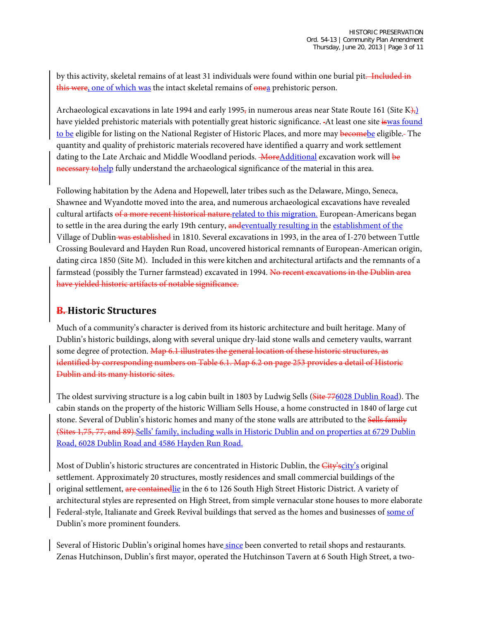by this activity, skeletal remains of at least 31 individuals were found within one burial pit. Included in this were, one of which was the intact skeletal remains of onea prehistoric person.

Archaeological excavations in late 1994 and early 1995, in numerous areas near State Route 161 (Site K), have yielded prehistoric materials with potentially great historic significance. -At least one site iswas found to be eligible for listing on the National Register of Historic Places, and more may become be eligible. The quantity and quality of prehistoric materials recovered have identified a quarry and work settlement dating to the Late Archaic and Middle Woodland periods. **MoreAdditional** excavation work will be necessary tohelp fully understand the archaeological significance of the material in this area.

Following habitation by the Adena and Hopewell, later tribes such as the Delaware, Mingo, Seneca, Shawnee and Wyandotte moved into the area, and numerous archaeological excavations have revealed cultural artifacts of a more recent historical nature-related to this migration. European-Americans began to settle in the area during the early 19th century, and eventually resulting in the establishment of the Village of Dublin was established in 1810. Several excavations in 1993, in the area of I-270 between Tuttle Crossing Boulevard and Hayden Run Road, uncovered historical remnants of European-American origin, dating circa 1850 (Site M). Included in this were kitchen and architectural artifacts and the remnants of a farmstead (possibly the Turner farmstead) excavated in 1994. No recent excavations in the Dublin area have yielded historic artifacts of notable significance.

## **B. Historic Structures**

Much of a community's character is derived from its historic architecture and built heritage. Many of Dublin's historic buildings, along with several unique dry-laid stone walls and cemetery vaults, warrant some degree of protection. Map 6.1 illustrates the general location of these historic structures, as identified by corresponding numbers on Table 6.1. Map 6.2 on page 253 provides a detail of Historic Dublin and its many historic sites.

The oldest surviving structure is a log cabin built in 1803 by Ludwig Sells (Site 776028 Dublin Road). The cabin stands on the property of the historic William Sells House, a home constructed in 1840 of large cut stone. Several of Dublin's historic homes and many of the stone walls are attributed to the Sells family (Sites 1,75, 77, and 89).Sells' family, including walls in Historic Dublin and on properties at 6729 Dublin Road, 6028 Dublin Road and 4586 Hayden Run Road.

Most of Dublin's historic structures are concentrated in Historic Dublin, the City's original settlement. Approximately 20 structures, mostly residences and small commercial buildings of the original settlement, are contained in the 6 to 126 South High Street Historic District. A variety of architectural styles are represented on High Street, from simple vernacular stone houses to more elaborate Federal-style, Italianate and Greek Revival buildings that served as the homes and businesses of some of Dublin's more prominent founders.

Several of Historic Dublin's original homes have since been converted to retail shops and restaurants. Zenas Hutchinson, Dublin's first mayor, operated the Hutchinson Tavern at 6 South High Street, a two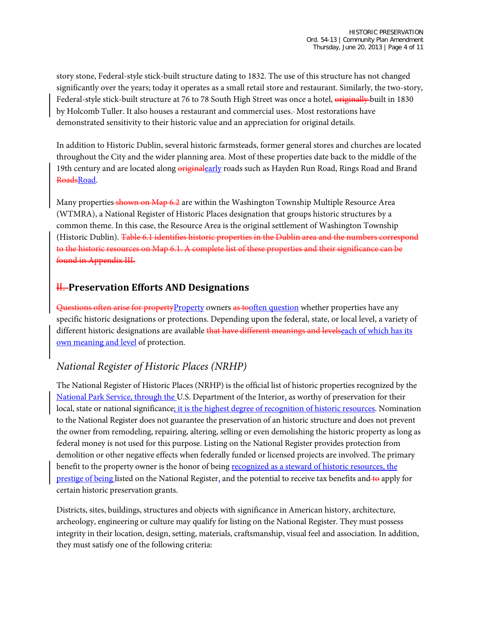story stone, Federal-style stick-built structure dating to 1832. The use of this structure has not changed significantly over the years; today it operates as a small retail store and restaurant. Similarly, the two-story, Federal-style stick-built structure at 76 to 78 South High Street was once a hotel, originally built in 1830 by Holcomb Tuller. It also houses a restaurant and commercial uses. Most restorations have demonstrated sensitivity to their historic value and an appreciation for original details.

In addition to Historic Dublin, several historic farmsteads, former general stores and churches are located throughout the City and the wider planning area. Most of these properties date back to the middle of the 19th century and are located along *eriginalearly* roads such as Hayden Run Road, Rings Road and Brand RoadsRoad.

Many properties shown on Map 6.2 are within the Washington Township Multiple Resource Area (WTMRA), a National Register of Historic Places designation that groups historic structures by a common theme. In this case, the Resource Area is the original settlement of Washington Township (Historic Dublin). Table 6.1 identifies historic properties in the Dublin area and the numbers correspond to the historic resources on Map 6.1. A complete list of these properties and their significance can be found in Appendix III.

## **H.** Preservation Efforts AND Designations

Questions often arise for propertyProperty owners as tooften question whether properties have any specific historic designations or protections. Depending upon the federal, state, or local level, a variety of different historic designations are available that have different meanings and levelseach of which has its own meaning and level of protection.

# *National Register of Historic Places (NRHP)*

The National Register of Historic Places (NRHP) is the official list of historic properties recognized by the National Park Service, through the U.S. Department of the Interior, as worthy of preservation for their local, state or national significance; it is the highest degree of recognition of historic resources. Nomination to the National Register does not guarantee the preservation of an historic structure and does not prevent the owner from remodeling, repairing, altering, selling or even demolishing the historic property as long as federal money is not used for this purpose. Listing on the National Register provides protection from demolition or other negative effects when federally funded or licensed projects are involved. The primary benefit to the property owner is the honor of being recognized as a steward of historic resources, the prestige of being listed on the National Register, and the potential to receive tax benefits and to apply for certain historic preservation grants.

Districts, sites, buildings, structures and objects with significance in American history, architecture, archeology, engineering or culture may qualify for listing on the National Register. They must possess integrity in their location, design, setting, materials, craftsmanship, visual feel and association. In addition, they must satisfy one of the following criteria: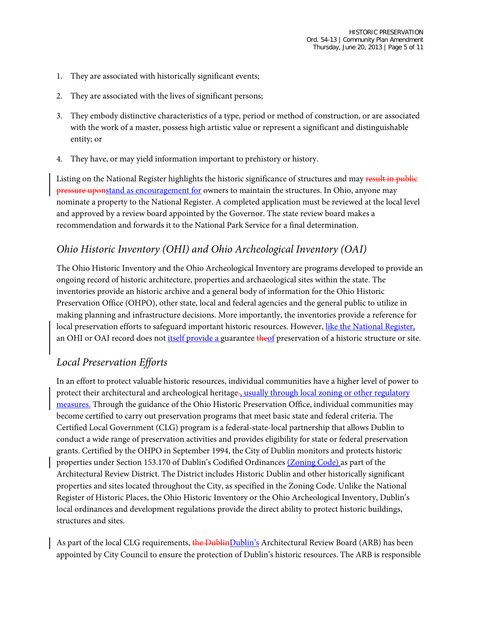- 1. They are associated with historically significant events;
- 2. They are associated with the lives of significant persons;
- 3. They embody distinctive characteristics of a type, period or method of construction, or are associated with the work of a master, possess high artistic value or represent a significant and distinguishable entity; or
- 4. They have, or may yield information important to prehistory or history.

Listing on the National Register highlights the historic significance of structures and may result in public pressure uponstand as encouragement for owners to maintain the structures. In Ohio, anyone may nominate a property to the National Register. A completed application must be reviewed at the local level and approved by a review board appointed by the Governor. The state review board makes a recommendation and forwards it to the National Park Service for a final determination.

# *Ohio Historic Inventory (OHI) and Ohio Archeological Inventory (OAI)*

The Ohio Historic Inventory and the Ohio Archeological Inventory are programs developed to provide an ongoing record of historic architecture, properties and archaeological sites within the state. The inventories provide an historic archive and a general body of information for the Ohio Historic Preservation Office (OHPO), other state, local and federal agencies and the general public to utilize in making planning and infrastructure decisions. More importantly, the inventories provide a reference for local preservation efforts to safeguard important historic resources. However, like the National Register, an OHI or OAI record does not itself provide a guarantee theof preservation of a historic structure or site.

## *Local Preservation Efforts*

In an effort to protect valuable historic resources, individual communities have a higher level of power to protect their architectural and archeological heritage., usually through local zoning or other regulatory measures. Through the guidance of the Ohio Historic Preservation Office, individual communities may become certified to carry out preservation programs that meet basic state and federal criteria. The Certified Local Government (CLG) program is a federal-state-local partnership that allows Dublin to conduct a wide range of preservation activities and provides eligibility for state or federal preservation grants. Certified by the OHPO in September 1994, the City of Dublin monitors and protects historic properties under Section 153.170 of Dublin's Codified Ordinances (Zoning Code) as part of the Architectural Review District. The District includes Historic Dublin and other historically significant properties and sites located throughout the City, as specified in the Zoning Code. Unlike the National Register of Historic Places, the Ohio Historic Inventory or the Ohio Archeological Inventory, Dublin's local ordinances and development regulations provide the direct ability to protect historic buildings, structures and sites.

As part of the local CLG requirements, the DublinDublin's Architectural Review Board (ARB) has been appointed by City Council to ensure the protection of Dublin's historic resources. The ARB is responsible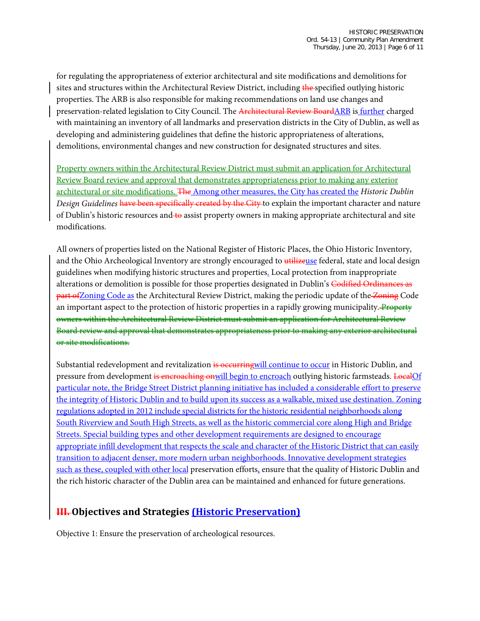for regulating the appropriateness of exterior architectural and site modifications and demolitions for sites and structures within the Architectural Review District, including the specified outlying historic properties. The ARB is also responsible for making recommendations on land use changes and preservation-related legislation to City Council. The Architectural Review BoardARB is further charged with maintaining an inventory of all landmarks and preservation districts in the City of Dublin, as well as developing and administering guidelines that define the historic appropriateness of alterations, demolitions, environmental changes and new construction for designated structures and sites.

Property owners within the Architectural Review District must submit an application for Architectural Review Board review and approval that demonstrates appropriateness prior to making any exterior architectural or site modifications. The Among other measures, the City has created the *Historic Dublin Design Guidelines* have been specifically created by the City to explain the important character and nature of Dublin's historic resources and to assist property owners in making appropriate architectural and site modifications.

All owners of properties listed on the National Register of Historic Places, the Ohio Historic Inventory, and the Ohio Archeological Inventory are strongly encouraged to utilizeuse federal, state and local design guidelines when modifying historic structures and properties. Local protection from inappropriate alterations or demolition is possible for those properties designated in Dublin's Codified Ordinances as **part of Zoning Code as the Architectural Review District, making the periodic update of the Zoning Code** an important aspect to the protection of historic properties in a rapidly growing municipality. Property owners within the Architectural Review District must submit an application for Architectural Review Board review and approval that demonstrates appropriateness prior to making any exterior architectural or site modifications.

Substantial redevelopment and revitalization is occurring will continue to occur in Historic Dublin, and pressure from development is encroaching onwill begin to encroach outlying historic farmsteads. LocalOf particular note, the Bridge Street District planning initiative has included a considerable effort to preserve the integrity of Historic Dublin and to build upon its success as a walkable, mixed use destination. Zoning regulations adopted in 2012 include special districts for the historic residential neighborhoods along South Riverview and South High Streets, as well as the historic commercial core along High and Bridge Streets. Special building types and other development requirements are designed to encourage appropriate infill development that respects the scale and character of the Historic District that can easily transition to adjacent denser, more modern urban neighborhoods. Innovative development strategies such as these, coupled with other local preservation efforts, ensure that the quality of Historic Dublin and the rich historic character of the Dublin area can be maintained and enhanced for future generations.

## **III. Objectives and Strategies (Historic Preservation)**

Objective 1: Ensure the preservation of archeological resources.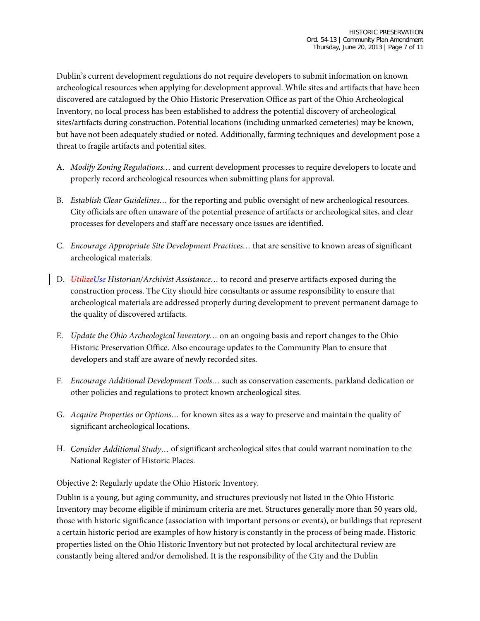Dublin's current development regulations do not require developers to submit information on known archeological resources when applying for development approval. While sites and artifacts that have been discovered are catalogued by the Ohio Historic Preservation Office as part of the Ohio Archeological Inventory, no local process has been established to address the potential discovery of archeological sites/artifacts during construction. Potential locations (including unmarked cemeteries) may be known, but have not been adequately studied or noted. Additionally, farming techniques and development pose a threat to fragile artifacts and potential sites.

- A. *Modify Zoning Regulations…* and current development processes to require developers to locate and properly record archeological resources when submitting plans for approval.
- B. *Establish Clear Guidelines…* for the reporting and public oversight of new archeological resources. City officials are often unaware of the potential presence of artifacts or archeological sites, and clear processes for developers and staff are necessary once issues are identified.
- C. *Encourage Appropriate Site Development Practices…* that are sensitive to known areas of significant archeological materials.
- D. *UtilizeUse Historian/Archivist Assistance…* to record and preserve artifacts exposed during the construction process. The City should hire consultants or assume responsibility to ensure that archeological materials are addressed properly during development to prevent permanent damage to the quality of discovered artifacts.
- E. *Update the Ohio Archeological Inventory…* on an ongoing basis and report changes to the Ohio Historic Preservation Office. Also encourage updates to the Community Plan to ensure that developers and staff are aware of newly recorded sites.
- F. *Encourage Additional Development Tools…* such as conservation easements, parkland dedication or other policies and regulations to protect known archeological sites.
- G. *Acquire Properties or Options…* for known sites as a way to preserve and maintain the quality of significant archeological locations.
- H. *Consider Additional Study…* of significant archeological sites that could warrant nomination to the National Register of Historic Places.

Objective 2: Regularly update the Ohio Historic Inventory.

Dublin is a young, but aging community, and structures previously not listed in the Ohio Historic Inventory may become eligible if minimum criteria are met. Structures generally more than 50 years old, those with historic significance (association with important persons or events), or buildings that represent a certain historic period are examples of how history is constantly in the process of being made. Historic properties listed on the Ohio Historic Inventory but not protected by local architectural review are constantly being altered and/or demolished. It is the responsibility of the City and the Dublin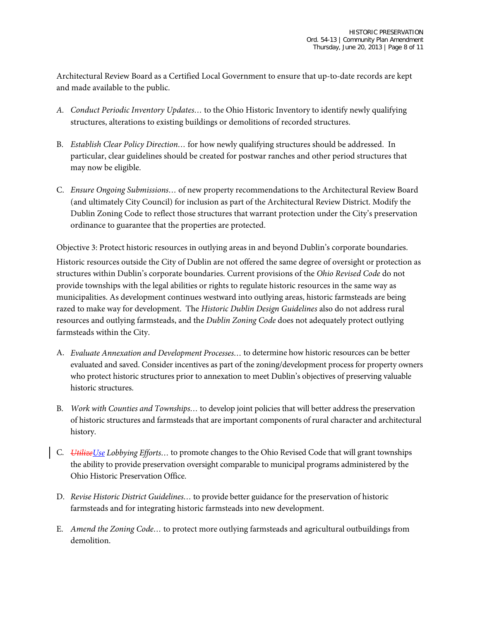Architectural Review Board as a Certified Local Government to ensure that up-to-date records are kept and made available to the public.

- *A. Conduct Periodic Inventory Updates…* to the Ohio Historic Inventory to identify newly qualifying structures, alterations to existing buildings or demolitions of recorded structures.
- B. *Establish Clear Policy Direction…* for how newly qualifying structures should be addressed. In particular, clear guidelines should be created for postwar ranches and other period structures that may now be eligible.
- C. *Ensure Ongoing Submissions…* of new property recommendations to the Architectural Review Board (and ultimately City Council) for inclusion as part of the Architectural Review District. Modify the Dublin Zoning Code to reflect those structures that warrant protection under the City's preservation ordinance to guarantee that the properties are protected.

Objective 3: Protect historic resources in outlying areas in and beyond Dublin's corporate boundaries. Historic resources outside the City of Dublin are not offered the same degree of oversight or protection as structures within Dublin's corporate boundaries. Current provisions of the *Ohio Revised Code* do not provide townships with the legal abilities or rights to regulate historic resources in the same way as municipalities. As development continues westward into outlying areas, historic farmsteads are being razed to make way for development. The *Historic Dublin Design Guidelines* also do not address rural resources and outlying farmsteads, and the *Dublin Zoning Code* does not adequately protect outlying farmsteads within the City.

- A. *Evaluate Annexation and Development Processes…* to determine how historic resources can be better evaluated and saved. Consider incentives as part of the zoning/development process for property owners who protect historic structures prior to annexation to meet Dublin's objectives of preserving valuable historic structures.
- B. *Work with Counties and Townships…* to develop joint policies that will better address the preservation of historic structures and farmsteads that are important components of rural character and architectural history.
- C. *UtilizeUse Lobbying Efforts…* to promote changes to the Ohio Revised Code that will grant townships the ability to provide preservation oversight comparable to municipal programs administered by the Ohio Historic Preservation Office.
- D. *Revise Historic District Guidelines…* to provide better guidance for the preservation of historic farmsteads and for integrating historic farmsteads into new development.
- E. *Amend the Zoning Code…* to protect more outlying farmsteads and agricultural outbuildings from demolition.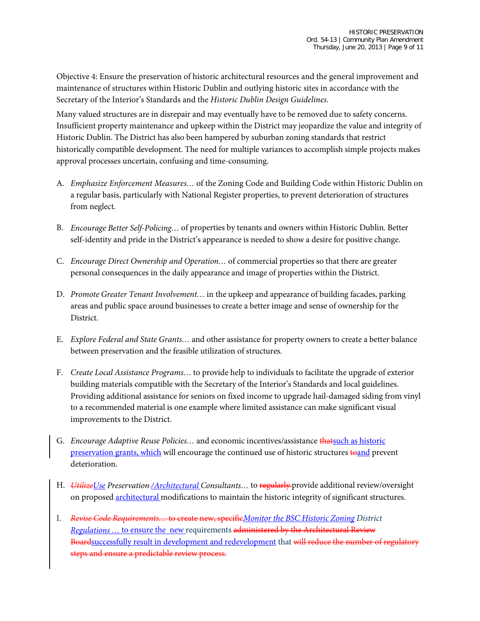Objective 4: Ensure the preservation of historic architectural resources and the general improvement and maintenance of structures within Historic Dublin and outlying historic sites in accordance with the Secretary of the Interior's Standards and the *Historic Dublin Design Guidelines*.

Many valued structures are in disrepair and may eventually have to be removed due to safety concerns. Insufficient property maintenance and upkeep within the District may jeopardize the value and integrity of Historic Dublin. The District has also been hampered by suburban zoning standards that restrict historically compatible development. The need for multiple variances to accomplish simple projects makes approval processes uncertain, confusing and time-consuming.

- A. *Emphasize Enforcement Measures…* of the Zoning Code and Building Code within Historic Dublin on a regular basis, particularly with National Register properties, to prevent deterioration of structures from neglect.
- B. *Encourage Better Self-Policing…* of properties by tenants and owners within Historic Dublin. Better self-identity and pride in the District's appearance is needed to show a desire for positive change.
- C. *Encourage Direct Ownership and Operation…* of commercial properties so that there are greater personal consequences in the daily appearance and image of properties within the District.
- D. *Promote Greater Tenant Involvement…* in the upkeep and appearance of building facades, parking areas and public space around businesses to create a better image and sense of ownership for the District.
- E. *Explore Federal and State Grants…* and other assistance for property owners to create a better balance between preservation and the feasible utilization of structures.
- F. *Create Local Assistance Programs…* to provide help to individuals to facilitate the upgrade of exterior building materials compatible with the Secretary of the Interior's Standards and local guidelines. Providing additional assistance for seniors on fixed income to upgrade hail-damaged siding from vinyl to a recommended material is one example where limited assistance can make significant visual improvements to the District.
- G. *Encourage Adaptive Reuse Policies…* and economic incentives/assistance thatsuch as historic preservation grants, which will encourage the continued use of historic structures to and prevent deterioration.
- H. *UtilizeUse Preservation /Architectural Consultants…* to regularly provide additional review/oversight on proposed **architectural** modifications to maintain the historic integrity of significant structures.
- I. *Revise Code Requirements…* to create new, specific*Monitor the BSC Historic Zoning District Regulations …* to ensure the new requirements administered by the Architectural Review Boardsuccessfully result in development and redevelopment that will reduce the number of regulatory steps and ensure a predictable review process.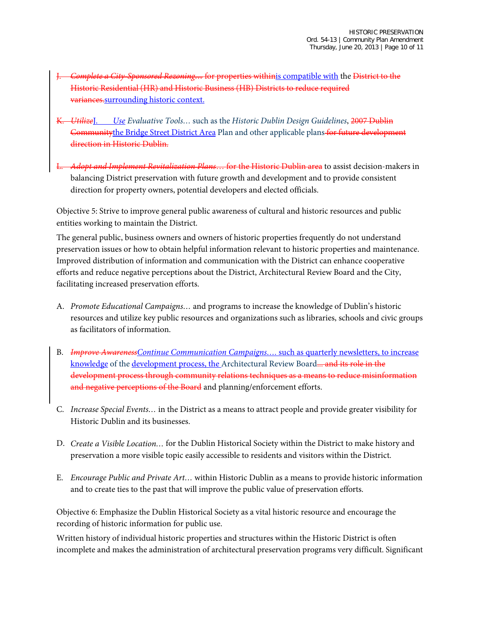- J. *Complete a City-Sponsored Rezoning…* for properties withinis compatible with the District to the Historic Residential (HR) and Historic Business (HB) Districts to reduce required variances.surrounding historic context.
- K. *Utilize*J. *Use Evaluative Tools…* such as the *Historic Dublin Design Guidelines*, 2007 Dublin Communitythe Bridge Street District Area Plan and other applicable plans for future development direction in Historic Dublin.
- L. *Adopt and Implement Revitalization Plans*… for the Historic Dublin area to assist decision-makers in balancing District preservation with future growth and development and to provide consistent direction for property owners, potential developers and elected officials.

Objective 5: Strive to improve general public awareness of cultural and historic resources and public entities working to maintain the District.

The general public, business owners and owners of historic properties frequently do not understand preservation issues or how to obtain helpful information relevant to historic properties and maintenance. Improved distribution of information and communication with the District can enhance cooperative efforts and reduce negative perceptions about the District, Architectural Review Board and the City, facilitating increased preservation efforts.

- A. *Promote Educational Campaigns…* and programs to increase the knowledge of Dublin's historic resources and utilize key public resources and organizations such as libraries, schools and civic groups as facilitators of information.
- B. *Improve AwarenessContinue Communication Campaigns….* such as quarterly newsletters, to increase knowledge of the development process, the Architectural Review Board... and its role in the development process through community relations techniques as a means to reduce misinformation and negative perceptions of the Board and planning/enforcement efforts.
- C. *Increase Special Events…* in the District as a means to attract people and provide greater visibility for Historic Dublin and its businesses.
- D. *Create a Visible Location…* for the Dublin Historical Society within the District to make history and preservation a more visible topic easily accessible to residents and visitors within the District.
- E. *Encourage Public and Private Art…* within Historic Dublin as a means to provide historic information and to create ties to the past that will improve the public value of preservation efforts.

Objective 6: Emphasize the Dublin Historical Society as a vital historic resource and encourage the recording of historic information for public use.

Written history of individual historic properties and structures within the Historic District is often incomplete and makes the administration of architectural preservation programs very difficult. Significant